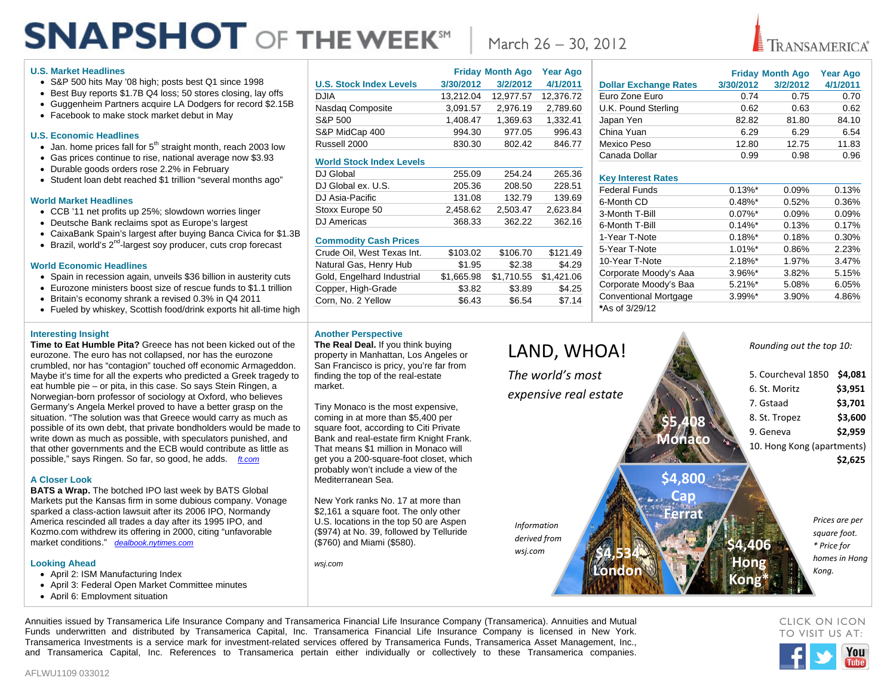# **SNAPSHOT OF THE WEEK<sup>SH</sup>**

#### **U.S. Market Headlines**

- S&P 500 hits May '08 high; posts best Q1 since 1998
- Best Buy reports \$1.7B Q4 loss; 50 stores closing, lay offs
- Guggenheim Partners acquire LA Dodgers for record \$2.15B
- Facebook to make stock market debut in May

#### **U.S. Economic Headlines**

- $\bullet$  Jan. home prices fall for  $5<sup>th</sup>$  straight month, reach 2003 low
- Gas prices continue to rise, national average now \$3.93
- Durable goods orders rose 2.2% in February
- Student loan debt reached \$1 trillion "several months ago"

#### **World Market Headlines**

- CCB '11 net profits up 25%; slowdown worries linger
- Deutsche Bank reclaims spot as Europe's largest
- CaixaBank Spain's largest after buying Banca Civica for \$1.3B
- $\bullet$  Brazil, world's  $2^{nd}$ -largest soy producer, cuts crop forecast

#### **World Economic Headlines**

- Spain in recession again, unveils \$36 billion in austerity cuts
- Eurozone ministers boost size of rescue funds to \$1.1 trillion
- Britain's economy shrank a revised 0.3% in Q4 2011
- Fueled by whiskey, Scottish food/drink exports hit all-time high

#### **Interesting Insight**

**Time to Eat Humble Pita?** Greece has not been kicked out of the eurozone. The euro has not collapsed, nor has the eurozone crumbled, nor has "contagion" touched off economic Armageddon. Maybe it's time for all the experts who predicted a Greek tragedy to eat humble pie – or pita, in this case. So says Stein Ringen, a Norwegian-born professor of sociology at Oxford, who believes Germany's Angela Merkel proved to have a better grasp on the situation. "The solution was that Greece would carry as much as possible of its own debt, that private bondholders would be made to write down as much as possible, with speculators punished, and that other governments and the ECB would contribute as little as possible," says Ringen. So far, so good, he adds. *ft.com*

#### **A Closer Look**

**BATS a Wrap.** The botched IPO last week by BATS Global Markets put the Kansas firm in some dubious company. Vonage sparked a class-action lawsuit after its 2006 IPO, Normandy America rescinded all trades a day after its 1995 IPO, and Kozmo.com withdrew its offering in 2000, citing "unfavorable market conditions." *dealbook.nytimes.com*

#### **Looking Ahead**

- April 2: ISM Manufacturing Index
- April 3: Federal Open Market Committee minutes
- **April 6: Employment situation**

|                                 |           | <b>Friday Month Ago</b> | <b>Year Ago</b> |
|---------------------------------|-----------|-------------------------|-----------------|
| <b>U.S. Stock Index Levels</b>  | 3/30/2012 | 3/2/2012                | 4/1/2011        |
| <b>DJIA</b>                     | 13.212.04 | 12,977.57               | 12.376.72       |
| Nasdag Composite                | 3.091.57  | 2.976.19                | 2.789.60        |
| S&P 500                         | 1.408.47  | 1,369.63                | 1.332.41        |
| S&P MidCap 400                  | 994.30    | 977.05                  | 996.43          |
| Russell 2000                    | 830.30    | 802.42                  | 846.77          |
| <b>World Stock Index Levels</b> |           |                         |                 |
| D.I Global                      | 255.09    | <b>254 24</b>           | 265.36          |

| DJ Global          | 255.09   | 254.24   | 265.36   |
|--------------------|----------|----------|----------|
| DJ Global ex. U.S. | 205.36   | 208.50   | 228.51   |
| DJ Asia-Pacific    | 131.08   | 132.79   | 139.69   |
| Stoxx Europe 50    | 2.458.62 | 2.503.47 | 2.623.84 |
| DJ Americas        | 368.33   | 362.22   | 362.16   |
|                    |          |          |          |

#### **Commodity Cash Prices**

| Crude Oil, West Texas Int. | \$103.02   | \$106.70   | \$121.49   |
|----------------------------|------------|------------|------------|
| Natural Gas, Henry Hub     | \$1.95     | \$2.38     | \$4.29     |
| Gold, Engelhard Industrial | \$1,665.98 | \$1,710.55 | \$1,421.06 |
| Copper, High-Grade         | \$3.82     | \$3.89     | \$4.25     |
| Corn, No. 2 Yellow         | \$6.43     | \$6.54     | \$7.14     |
|                            |            |            |            |

## March 26 – 30, 2012

### **Friday Month Ago Year Ago Dollar Exchange Rates 3/30/2012 3/2/2012 4/1/2011** Euro Zone Euro 0.74 0.75 0.70 U.K. Pound Sterling 0.62 0.63 0.62 Japan Yen 62.82 81.80 84.10 China Yuan 6.29 6.29 6.54 Mexico Peso 2012.80 12.80 12.75 11.83

**TRANSAMERICA®** 

#### **Key Interest Rates**

| <b>INGY THING COLTNAIGO</b>  |                       |       |       |
|------------------------------|-----------------------|-------|-------|
| Federal Funds                | $0.13\%$ <sup>*</sup> | 0.09% | 0.13% |
| 6-Month CD                   | $0.48\%$ *            | 0.52% | 0.36% |
| 3-Month T-Bill               | $0.07\%$ *            | 0.09% | 0.09% |
| 6-Month T-Bill               | $0.14\%$ *            | 0.13% | 0.17% |
| 1-Year T-Note                | $0.18\%$ *            | 0.18% | 0.30% |
| 5-Year T-Note                | $1.01\%$ *            | 0.86% | 2.23% |
| 10-Year T-Note               | $2.18\%$ *            | 1.97% | 3.47% |
| Corporate Moody's Aaa        | $3.96\%$ *            | 3.82% | 5.15% |
| Corporate Moody's Baa        | $5.21\%$ *            | 5.08% | 6.05% |
| <b>Conventional Mortgage</b> | $3.99\%$ *            | 3.90% | 4.86% |
| *As of 3/29/12               |                       |       |       |
|                              |                       |       |       |

Canada Dollar 0.99 0.98 0.96

#### **Another Perspective**

**The Real Deal.** If you think buying property in Manhattan, Los Angeles or San Francisco is pricy, you're far from finding the top of the real-estate market.

Tiny Monaco is the most expensive, coming in at more than \$5,400 per square foot, according to Citi Private Bank and real-estate firm Knight Frank. That means \$1 million in Monaco will get you a 200-square-foot closet, which probably won't include a view of the Mediterranean Sea.

New York ranks No. 17 at more than \$2,161 a square foot. The only other U.S. locations in the top 50 are Aspen (\$974) at No. 39, followed by Telluride (\$760) and Miami (\$580).

*wsj.com*



Annuities issued by Transamerica Life Insurance Company and Transamerica Financial Life Insurance Company (Transamerica). Annuities and Mutual Funds underwritten and distributed by Transamerica Capital, Inc. Transamerica Financial Life Insurance Company is licensed in New York. Transamerica Investments is a service mark for investment-related services offered by Transamerica Funds, Transamerica Asset Management, Inc., and Transamerica Capital, Inc. References to Transamerica pertain either individually or collectively to these Transamerica companies.

CLICK ON ICON TO VISIT US AT: